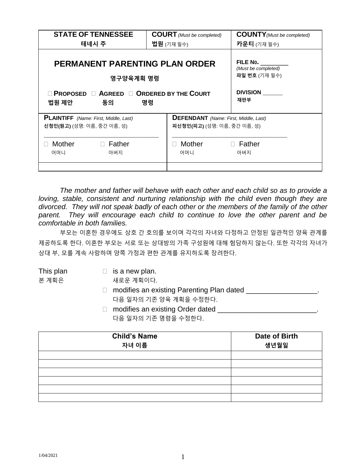| <b>STATE OF TENNESSEE</b>                                                         | <b>COURT</b> (Must be completed)                                            | <b>COUNTY</b> (Must be completed)                |
|-----------------------------------------------------------------------------------|-----------------------------------------------------------------------------|--------------------------------------------------|
| 테네시 주                                                                             | <b>법원</b> (기재 필수)                                                           | <b>카운티</b> (기재필수)                                |
| <b>PERMANENT PARENTING PLAN ORDER</b><br>영구양육계획 명령                                |                                                                             | FILE No.<br>(Must be completed)<br>파일 번호 (기재 필수) |
| <b>O PROPOSED O AGREED O ORDERED BY THE COURT</b><br>법원 제안<br>동의                  | 명령                                                                          | <b>DIVISION</b><br>재판부                           |
| <b>PLAINTIFF</b> (Name: First, Middle, Last)<br><b>신청인(원고)</b> (성명: 이름, 중간 이름, 성) | <b>DEFENDANT</b> (Name: First, Middle, Last)<br>피신청인(피고) (성명: 이름, 중간 이름, 성) |                                                  |
| Mother<br>$\Box$ Father<br>어머니<br>아버지                                             | Mother<br>어머니                                                               | $\Box$ Father<br>아버지                             |

*The mother and father will behave with each other and each child so as to provide a loving, stable, consistent and nurturing relationship with the child even though they are divorced. They will not speak badly of each other or the members of the family of the other parent. They will encourage each child to continue to love the other parent and be comfortable in both families.* 

부모는 이혼한 경우에도 상호 간 호의를 보이며 각각의 자녀와 다정하고 안정된 일관적인 양육 관계를 제공하도록 한다. 이혼한 부모는 서로 또는 상대방의 가족 구성원에 대해 험담하지 않는다. 또한 각각의 자녀가 상대 부, 모를 계속 사랑하며 양쪽 가정과 편한 관계를 유지하도록 장려한다.

- This plan  $\Box$  is a new plan.
- 본 계획은 새로운 계획이다.
	- □ modifies an existing Parenting Plan dated \_\_\_\_\_\_\_\_\_\_\_\_\_\_\_\_\_\_\_\_\_. 다음 일자의 기존 양육 계획을 수정한다.
	- □ modifies an existing Order dated \_\_\_\_\_\_\_\_\_\_\_\_\_\_\_\_\_\_\_\_\_\_\_\_\_\_\_\_\_\_\_. 다음 일자의 기존 명령을 수정한다.

| <b>Child's Name</b> | <b>Date of Birth</b> |
|---------------------|----------------------|
| 자녀 이름               | 생년월일                 |
|                     |                      |
|                     |                      |
|                     |                      |
|                     |                      |
|                     |                      |
|                     |                      |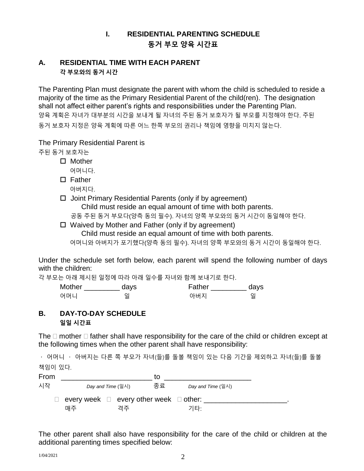# **I. RESIDENTIAL PARENTING SCHEDULE 동거 부모 양육 시간표**

#### **A. RESIDENTIAL TIME WITH EACH PARENT 각 부모와의 동거 시간**

The Parenting Plan must designate the parent with whom the child is scheduled to reside a majority of the time as the Primary Residential Parent of the child(ren). The designation shall not affect either parent's rights and responsibilities under the Parenting Plan. 양육 계획은 자녀가 대부분의 시간을 보내게 될 자녀의 주된 동거 보호자가 될 부모를 지정해야 한다. 주된 동거 보호자 지정은 양육 계획에 따른 어느 한쪽 부모의 권리나 책임에 영향을 미치지 않는다.

The Primary Residential Parent is

주된 동거 보호자는

- Mother
	- 어머니다.
- $\square$  Father
	- 아버지다.
- $\Box$  Joint Primary Residential Parents (only if by agreement) Child must reside an equal amount of time with both parents.

공동 주된 동거 부모다(양측 동의 필수). 자녀의 양쪽 부모와의 동거 시간이 동일해야 한다.

 Waived by Mother and Father (only if by agreement) Child must reside an equal amount of time with both parents. 어머니와 아버지가 포기했다(양측 동의 필수). 자녀의 양쪽 부모와의 동거 시간이 동일해야 한다.

Under the schedule set forth below, each parent will spend the following number of days with the children:

각 부모는 아래 제시된 일정에 따라 아래 일수를 자녀와 함께 보내기로 한다.

| Mother | days | Father | days |
|--------|------|--------|------|
| 어머니    | 일    | 아버지    | 일    |

# **B. DAY-TO-DAY SCHEDULE 일일 시간표**

The  $\Box$  mother  $\Box$  father shall have responsibility for the care of the child or children except at the following times when the other parent shall have responsibility:

• 어머니 • 아버지는 다른 쪽 부모가 자녀(들)를 돌볼 책임이 있는 다음 기간을 제외하고 자녀(들)를 돌볼 책임이 있다.



The other parent shall also have responsibility for the care of the child or children at the additional parenting times specified below: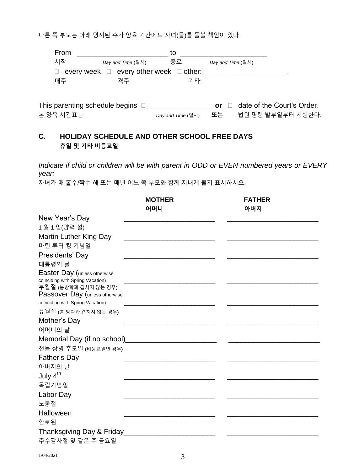다른 쪽 부모는 아래 명시된 추가 양육 기간에도 자녀(들)를 돌볼 책임이 있다.

| From      |                                                  | to                |                             |                            |
|-----------|--------------------------------------------------|-------------------|-----------------------------|----------------------------|
| 시작        | Day and Time $(9 \lambda )$                      | 종료                | Day and Time $(9 \lambda )$ |                            |
| П         | every week $\Box$ every other week $\Box$ other: |                   |                             |                            |
| 매주        | 격주                                               | 기타:               |                             |                            |
|           |                                                  |                   |                             |                            |
|           | This parenting schedule begins $\Box$            |                   | or                          | date of the Court's Order. |
| 본 양육 시간표는 |                                                  | Day and Time (일시) | 또는.                         | 법원 명령 발부일부터 시행한다.          |

## **C. HOLIDAY SCHEDULE AND OTHER SCHOOL FREE DAYS 휴일 및 기타 비등교일**

*Indicate if child or children will be with parent in ODD or EVEN numbered years or EVERY year:*

자녀가 매 홀수/짝수 해 또는 매년 어느 쪽 부모와 함께 지내게 될지 표시하시오.

|                                                          | <b>MOTHER</b>                                                                                                                                                                                                                       | <b>FATHER</b> |
|----------------------------------------------------------|-------------------------------------------------------------------------------------------------------------------------------------------------------------------------------------------------------------------------------------|---------------|
|                                                          | 어머니                                                                                                                                                                                                                                 | 아버지           |
| New Year's Day                                           |                                                                                                                                                                                                                                     |               |
| 1월 1일(양력설)                                               |                                                                                                                                                                                                                                     |               |
| Martin Luther King Day                                   |                                                                                                                                                                                                                                     |               |
| 마틴 루터 킹 기념일                                              |                                                                                                                                                                                                                                     |               |
| Presidents' Day                                          |                                                                                                                                                                                                                                     |               |
| 대통령의 날                                                   |                                                                                                                                                                                                                                     |               |
| Easter Day (unless otherwise                             |                                                                                                                                                                                                                                     |               |
| coinciding with Spring Vacation)<br>부활절 (봄방학과 겹치지 않는 경우) |                                                                                                                                                                                                                                     |               |
| Passover Day (unless otherwise                           |                                                                                                                                                                                                                                     |               |
| coinciding with Spring Vacation)                         | <u>experience</u> and the control of the control of the control of the control of the control of the control of the control of the control of the control of the control of the control of the control of the control of the contro |               |
| 유월절 (봄 방학과 겹치지 않는 경우)                                    |                                                                                                                                                                                                                                     |               |
| Mother's Day                                             |                                                                                                                                                                                                                                     |               |
| 어머니의 날                                                   |                                                                                                                                                                                                                                     |               |
|                                                          |                                                                                                                                                                                                                                     |               |
| 전몰 장병 추모일 (비등교일인 경우)                                     |                                                                                                                                                                                                                                     |               |
| Father's Day                                             |                                                                                                                                                                                                                                     |               |
| 아버지의 날                                                   |                                                                                                                                                                                                                                     |               |
| July 4 <sup>th</sup>                                     |                                                                                                                                                                                                                                     |               |
| 독립기념일                                                    |                                                                                                                                                                                                                                     |               |
| Labor Day                                                |                                                                                                                                                                                                                                     |               |
| 노동절                                                      |                                                                                                                                                                                                                                     |               |
| Halloween                                                |                                                                                                                                                                                                                                     |               |
| 할로윈                                                      |                                                                                                                                                                                                                                     |               |
|                                                          |                                                                                                                                                                                                                                     |               |
| 추수감사절 및 같은 주 금요일                                         |                                                                                                                                                                                                                                     |               |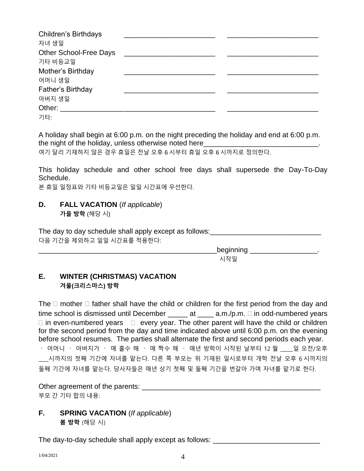| <b>Children's Birthdays</b>   |  |
|-------------------------------|--|
| 자녀 생일                         |  |
| <b>Other School-Free Days</b> |  |
| 기타 비등교일                       |  |
| Mother's Birthday             |  |
| 어머니 생일                        |  |
| Father's Birthday             |  |
| 아버지 생일                        |  |
| Other: $\_\_$                 |  |
| 기타:                           |  |

A holiday shall begin at 6:00 p.m. on the night preceding the holiday and end at 6:00 p.m. the night of the holiday, unless otherwise noted here\_

여기 달리 기재하지 않은 경우 휴일은 전날 오후 6 시부터 휴일 오후 6 시까지로 정의한다.

This holiday schedule and other school free days shall supersede the Day-To-Day Schedule.

본 휴일 일정표와 기타 비등교일은 일일 시간표에 우선한다.

# **D. FALL VACATION** (*If applicable*)

**가을 방학** (해당 시)

The day to day schedule shall apply except as follows: \_\_\_\_\_\_\_\_\_\_\_\_\_\_\_\_\_\_\_\_\_\_\_\_\_ 다음 기간을 제외하고 일일 시간표를 적용한다:

> \_beginning \_\_\_\_\_\_\_\_\_\_\_\_\_\_\_\_\_\_\_\_\_\_\_\_\_\_. 시작일

## **E. WINTER (CHRISTMAS) VACATION 겨울(크리스마스) 방학**

The  $\Box$  mother  $\Box$  father shall have the child or children for the first period from the day and time school is dismissed until December  $\_\_\_\_$ at  $\_\_\_\$ a.m./p.m.  $\Box$  in odd-numbered years  $\Box$  in even-numbered years  $\Box$  every year. The other parent will have the child or children for the second period from the day and time indicated above until 6:00 p.m. on the evening before school resumes. The parties shall alternate the first and second periods each year.  $\cdot$  어머니  $\cdot$  아버지가  $\cdot$  매 홀수 해  $\cdot$  매 짝수 해  $\cdot$  매년 방학이 시작된 날부터 12 월 \_ 일 오전/오후 \_\_\_\_시까지의 첫째 기간에 자녀를 맡는다. 다른 쪽 부모는 위 기재된 일시로부터 개학 전날 오후 6 시까지의 둘째 기간에 자녀를 맡는다. 당사자들은 매년 상기 첫째 및 둘째 기간을 번갈아 가며 자녀를 맡기로 한다.

Other agreement of the parents: \_\_\_\_\_\_\_\_\_\_\_\_\_\_\_\_\_\_\_\_\_\_\_\_\_\_\_\_\_\_\_\_\_\_\_\_\_\_\_\_\_\_\_\_\_ 부모 간 기타 합의 내용:

## **F. SPRING VACATION** (*If applicable*) **봄 방학** (해당 시)

The day-to-day schedule shall apply except as follows: \_\_\_\_\_\_\_\_\_\_\_\_\_\_\_\_\_\_\_\_\_\_\_\_\_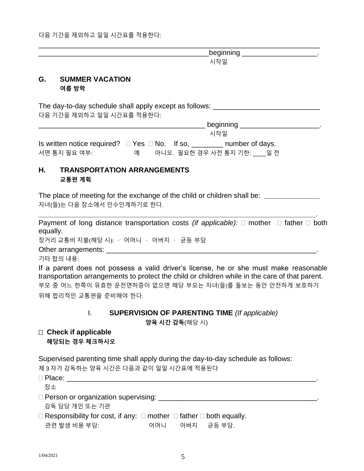beginning the control of the set of the set of the set of the set of the set of the set of the set of the set o 시작일

#### **G. SUMMER VACATION 여름 방학**

The day-to-day schedule shall apply except as follows: \_\_\_\_\_\_\_\_\_\_\_\_\_\_\_\_\_\_\_\_\_\_\_\_\_ 다음 기간을 제외하고 일일 시간표를 적용한다:

|                                                          |    |  | beginning                 |  |
|----------------------------------------------------------|----|--|---------------------------|--|
|                                                          |    |  | 시작일                       |  |
| Is written notice required? $\Box$ Yes $\Box$ No. If so, |    |  | number of days.           |  |
| 서면 통지 필요 여부:                                             | OШ |  | 아니오. 필요한 경우 사전 통지 기한: 일 전 |  |

\_\_\_\_\_\_\_\_\_\_\_\_\_\_\_\_\_\_\_\_\_\_\_\_\_\_\_\_\_\_\_\_\_\_\_\_\_\_\_\_\_\_\_\_\_\_\_\_\_\_\_\_\_\_\_\_\_\_\_\_\_\_\_\_\_\_\_\_\_\_\_

## **H. TRANSPORTATION ARRANGEMENTS 교통편 계획**

The place of meeting for the exchange of the child or children shall be: *\_\_\_\_\_\_\_\_\_\_\_\_\_\_* 자녀(들)는 다음 장소에서 인수인계하기로 한다.

*\_\_\_\_\_\_\_\_\_\_\_\_\_\_\_\_\_\_\_\_\_\_\_\_\_\_\_\_\_\_\_\_\_\_\_\_\_\_\_\_\_\_\_\_\_\_\_\_\_\_\_\_\_\_\_\_\_\_\_\_\_\_\_\_\_\_\_\_\_\_.*

Payment of long distance transportation costs *(if applicable):*  $\Box$  mother  $\Box$  father  $\Box$  both equally.

장거리 교통비 지불(해당 시):  $\cdot$  어머니  $\cdot$  아버지  $\cdot$  균등 부담

Other arrangements:  $\Box$ 

기타 합의 내용:

If a parent does not possess a valid driver's license, he or she must make reasonable transportation arrangements to protect the child or children while in the care of that parent. 부모 중 어느 한쪽이 유효한 운전면허증이 없으면 해당 부모는 자녀(들)를 돌보는 동안 안전하게 보호하기 위해 합리적인 교통편을 준비해야 한다.

#### I. **SUPERVISION OF PARENTING TIME** *(If applicable)*

**양육 시간 감독**(해당 시)

#### **Check if applicable 해당되는 경우 체크하시오**

Supervised parenting time shall apply during the day-to-day schedule as follows: 제 3 자가 감독하는 양육 시간은 다음과 같이 일일 시간표에 적용된다

| $\square$ Place:                                                                         |     |            |  |
|------------------------------------------------------------------------------------------|-----|------------|--|
| 장소                                                                                       |     |            |  |
| □ Person or organization supervising:                                                    |     |            |  |
| 감독 담당 개인 또는 기관                                                                           |     |            |  |
| $\Box$ Responsibility for cost, if any: $\Box$ mother $\Box$ father $\Box$ both equally. |     |            |  |
| 관련 발생 비용 부담:                                                                             | 어머니 | 아버지 균등 부담. |  |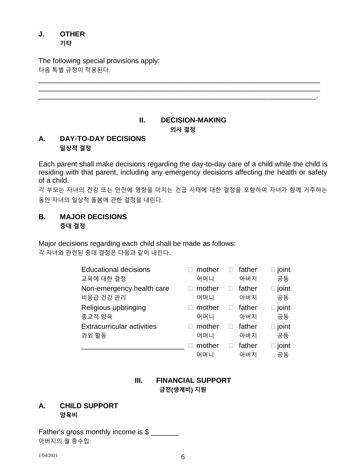# **J. OTHER**

**기타**

The following special provisions apply: 다음 특별 규정이 적용된다.

# **II. DECISION-MAKING 의사 결정**

\_\_\_\_\_\_\_\_\_\_\_\_\_\_\_\_\_\_\_\_\_\_\_\_\_\_\_\_\_\_\_\_\_\_\_\_\_\_\_\_\_\_\_\_\_\_\_\_\_\_\_\_\_\_\_\_\_\_\_\_\_\_\_\_\_\_\_\_\_\_\_ \_\_\_\_\_\_\_\_\_\_\_\_\_\_\_\_\_\_\_\_\_\_\_\_\_\_\_\_\_\_\_\_\_\_\_\_\_\_\_\_\_\_\_\_\_\_\_\_\_\_\_\_\_\_\_\_\_\_\_\_\_\_\_\_\_\_\_\_\_\_\_

# **A. DAY-TO-DAY DECISIONS 일상적 결정**

Each parent shall make decisions regarding the day-to-day care of a child while the child is residing with that parent, including any emergency decisions affecting the health or safety of a child.

각 부모는 자녀의 건강 또는 안전에 영향을 미치는 긴급 사태에 대한 결정을 포함하여 자녀가 함께 거주하는 동안 자녀의 일상적 돌봄에 관한 결정을 내린다.

#### **B. MAJOR DECISIONS 중대 결정**

Major decisions regarding each child shall be made as follows: 각 자녀와 관련된 중대 결정은 다음과 같이 내린다.

| <b>Educational decisions</b>      | mother | father | ioint        |
|-----------------------------------|--------|--------|--------------|
| 교육에 대한 결정                         | 어머니    | 아버지    | 공동           |
| Non-emergency health care         | mother | father | $\Box$ joint |
| 비응급 건강 관리                         | 어머니    | 아버지    | 공동           |
| Religious upbringing              | mother | father | ioint        |
| 종교적 양육                            | 어머니    | 아버지    | 공동           |
| <b>Extracurricular activities</b> | mother | father | ioint        |
| 과외 활동                             | 어머니    | 아버지    | 공동           |
|                                   | mother | father | ioint        |
|                                   | 어머니    | 아버지    | 공동           |

# **III. FINANCIAL SUPPORT 금전(생계비) 지원**

## **A. CHILD SUPPORT 양육비**

Father's gross monthly income is \$ 아버지의 월 총수입: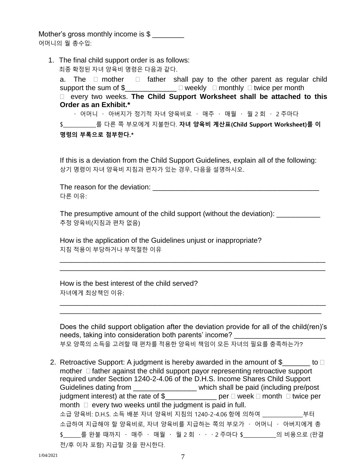Mother's gross monthly income is  $$$ 어머니의 월 총수입:

1. The final child support order is as follows: 최종 확정된 자녀 양육비 명령은 다음과 같다. a. The  $\Box$  mother  $\Box$  father shall pay to the other parent as regular child support the sum of  $\text{\$}$ \_\_\_\_\_\_\_\_\_\_\_\_\_\_\_  $\Box$  weekly  $\Box$  monthly  $\Box$  twice per month every two weeks. **The Child Support Worksheet shall be attached to this Order as an Exhibit.\***  $\cdot$  어머니  $\cdot$  아버지가 정기적 자녀 양육비로  $\cdot$  매주  $\cdot$  매월  $\cdot$  월 2 회  $\cdot$  2 주마다 \$\_\_\_\_\_\_\_\_\_\_\_\_\_를 다른 쪽 부모에게 지불한다. **자녀 양육비 계산표(Child Support Worksheet)를 이**

**명령의 부록으로 첨부한다.\***

If this is a deviation from the Child Support Guidelines, explain all of the following: 상기 명령이 자녀 양육비 지침과 편차가 있는 경우, 다음을 설명하시오.

The reason for the deviation: **Example 20** Figures 1. 다른 이유:

The presumptive amount of the child support (without the deviation): \_\_\_\_\_\_\_\_\_\_\_ 추정 양육비(지침과 편차 없음)

\_\_\_\_\_\_\_\_\_\_\_\_\_\_\_\_\_\_\_\_\_\_\_\_\_\_\_\_\_\_\_\_\_\_\_\_\_\_\_\_\_\_\_\_\_\_\_\_\_\_\_\_\_\_\_\_\_\_\_\_\_\_\_\_\_\_\_ \_\_\_\_\_\_\_\_\_\_\_\_\_\_\_\_\_\_\_\_\_\_\_\_\_\_\_\_\_\_\_\_\_\_\_\_\_\_\_\_\_\_\_\_\_\_\_\_\_\_\_\_\_\_\_\_\_\_\_\_\_\_\_\_\_\_\_

How is the application of the Guidelines unjust or inappropriate? 지침 적용이 부당하거나 부적절한 이유

How is the best interest of the child served? 자녀에게 최상책인 이유:

Does the child support obligation after the deviation provide for all of the child(ren)'s needs, taking into consideration both parents' income? 부모 양쪽의 소득을 고려할 때 편차를 적용한 양육비 책임이 모든 자녀의 필요를 충족하는가?

\_\_\_\_\_\_\_\_\_\_\_\_\_\_\_\_\_\_\_\_\_\_\_\_\_\_\_\_\_\_\_\_\_\_\_\_\_\_\_\_\_\_\_\_\_\_\_\_\_\_\_\_\_\_\_\_\_\_\_\_\_\_\_\_\_\_\_ \_\_\_\_\_\_\_\_\_\_\_\_\_\_\_\_\_\_\_\_\_\_\_\_\_\_\_\_\_\_\_\_\_\_\_\_\_\_\_\_\_\_\_\_\_\_\_\_\_\_\_\_\_\_\_\_\_\_\_\_\_\_\_\_\_\_

2. Retroactive Support: A judgment is hereby awarded in the amount of  $\frac{1}{2}$  \_\_\_\_\_\_ to  $\Box$ mother  $\Box$  father against the child support payor representing retroactive support required under Section 1240-2-4.06 of the D.H.S. Income Shares Child Support Guidelines dating from \_\_\_\_\_\_\_\_\_\_\_\_\_\_\_\_\_\_ which shall be paid (including pre/post judgment interest) at the rate of  $\$\qquad\qquad$  per  $\Box$  week  $\Box$  month  $\Box$  twice per month  $\Box$  every two weeks until the judgment is paid in full. 소급 양육비: D.H.S. 소득 배분 자녀 양육비 지침의 1240-2-4.06 항에 의하여 \_\_\_\_\_\_\_\_\_\_\_\_\_\_\_\_부터 소급하여 지급해야 할 양육비로, 자녀 양육비를 지급하는 쪽의 부모가 · 어머니 · 아버지에게 총 \$를 완불 때까지 · 매주 · 매월 · 월 2 회 · · · 2 주마다 \$\_\_\_\_\_\_\_\_\_\_의 비용으로 (판결 전/후 이자 포함) 지급할 것을 판시한다.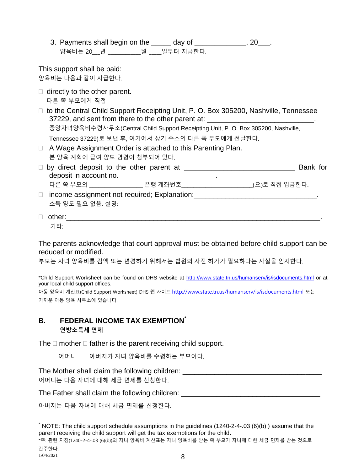3. Payments shall begin on the \_\_\_\_\_ day of \_\_\_\_\_\_\_\_\_\_\_\_, 20 \_\_. 양육비는 20\_\_\_년 \_\_\_\_\_\_\_\_\_\_\_\_\_월 \_\_\_\_\_일부터 지급한다.

This support shall be paid: 양육비는 다음과 같이 지급한다.

- $\Box$  directly to the other parent. 다른 쪽 부모에게 직접
- $\Box$  to the Central Child Support Receipting Unit, P. O. Box 305200, Nashville, Tennessee 37229, and sent from there to the other parent at: 중앙자녀양육비수령사무소(Central Child Support Receipting Unit, P. O. Box 305200, Nashville,

Tennessee 37229)로 보낸 후, 여기에서 상기 주소의 다른 쪽 부모에게 전달한다.

- □ A Wage Assignment Order is attached to this Parenting Plan. 본 양육 계획에 급여 양도 명령이 첨부되어 있다.
- by direct deposit to the other parent at \_\_\_\_\_\_\_\_\_\_\_\_\_\_\_\_\_\_\_\_\_\_\_\_\_\_\_\_ Bank for deposit in account no. \_\_\_\_\_\_\_\_\_\_\_\_\_\_\_\_\_\_\_\_\_\_\_\_\_\_\_\_. 다른 쪽 부모의 \_\_\_\_\_\_\_\_\_\_\_\_\_\_\_\_\_\_ 은행 계좌번호\_\_\_\_\_\_\_\_\_\_\_\_\_\_\_\_\_\_\_\_\_\_\_\_(으)로 직접 입금한다.
- □ income assignment not required; Explanation: \_\_\_\_\_\_\_\_\_\_\_\_\_\_\_\_\_\_\_\_\_\_\_\_\_\_\_\_\_\_\_\_\_ 소득 양도 필요 없음. 설명:

```
\Box other:
기타:
```
The parents acknowledge that court approval must be obtained before child support can be reduced or modified.

부모는 자녀 양육비를 감액 또는 변경하기 위해서는 법원의 사전 허가가 필요하다는 사실을 인지한다.

\*Child Support Worksheet can be found on DHS website at<http://www.state.tn.us/humanserv/is/isdocuments.html> or at your local child support offices.

아동 양육비 계산표(Child Support Worksheet) DHS 웹 사이트 <http://www.state.tn.us/humanserv/is/isdocuments.html> 또는 가까운 아동 양육 사무소에 있습니다.

# **B. FEDERAL INCOME TAX EXEMPTION\* 연방소득세 면제**

The  $\Box$  mother  $\Box$  father is the parent receiving child support.

어머니 아버지가 자녀 양육비를 수령하는 부모이다.

The Mother shall claim the following children:  $\blacksquare$ 어머니는 다음 자녀에 대해 세금 면제를 신청한다.

The Father shall claim the following children: \_\_\_\_\_\_\_\_\_\_\_\_\_\_\_\_\_\_\_\_\_\_\_\_\_\_\_\_\_\_\_\_\_

아버지는 다음 자녀에 대해 세금 면제를 신청한다.

 $\overline{a}$ \* NOTE: The child support schedule assumptions in the guidelines (1240-2-4-.03 (6)(b) ) assume that the parent receiving the child support will get the tax exemptions for the child.

<sup>\*</sup>주: 관련 지침(1240-2-4-.03 (6)(b))의 자녀 양육비 계산표는 자녀 양육비를 받는 쪽 부모가 자녀에 대한 세금 면제를 받는 것으로 간주한다.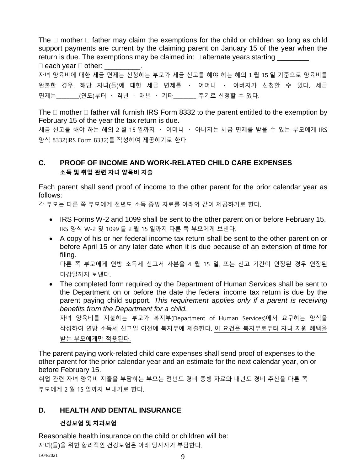The  $\Box$  mother  $\Box$  father may claim the exemptions for the child or children so long as child support payments are current by the claiming parent on January 15 of the year when the return is due. The exemptions may be claimed in:  $\Box$  alternate years starting  $\square$  each vear  $\square$  other:

자녀 양육비에 대한 세금 면제는 신청하는 부모가 세금 신고를 해야 하는 해의 1 월 15 일 기준으로 양육비를 완불한 경우, 해당 자녀(들)에 대한 세금 면제를 · 어머니 · 아버지가 신청할 수 있다. 세금 면제는\_\_\_\_\_\_\_\_(연도)부터 · 격년 · 매년 · 기타\_\_\_\_\_\_\_\_ 주기로 신청할 수 있다.

The  $\Box$  mother  $\Box$  father will furnish IRS Form 8332 to the parent entitled to the exemption by February 15 of the year the tax return is due.

세금 신고를 해야 하는 해의 2 월 15 일까지 · 어머니 · 아버지는 세금 면제를 받을 수 있는 부모에게 IRS 양식 8332(IRS Form 8332)를 작성하여 제공하기로 한다.

# **C. PROOF OF INCOME AND WORK-RELATED CHILD CARE EXPENSES 소득 및 취업 관련 자녀 양육비 지출**

Each parent shall send proof of income to the other parent for the prior calendar year as follows:

각 부모는 다른 쪽 부모에게 전년도 소득 증빙 자료를 아래와 같이 제공하기로 한다.

- IRS Forms W-2 and 1099 shall be sent to the other parent on or before February 15. IRS 양식 W-2 및 1099 를 2 월 15 일까지 다른 쪽 부모에게 보낸다.
- A copy of his or her federal income tax return shall be sent to the other parent on or before April 15 or any later date when it is due because of an extension of time for filing.

다른 쪽 부모에게 연방 소득세 신고서 사본을 4 월 15 일, 또는 신고 기간이 연장된 경우 연장된 마감일까지 보낸다.

• The completed form required by the Department of Human Services shall be sent to the Department on or before the date the federal income tax return is due by the parent paying child support. *This requirement applies only if a parent is receiving benefits from the Department for a child.* 자녀 양육비를 지불하는 부모가 복지부(Department of Human Services)에서 요구하는 양식을

작성하여 연방 소득세 신고일 이전에 복지부에 제출한다. 이 요건은 복지부로부터 자녀 지원 혜택을 받는 부모에게만 적용된다.

The parent paying work-related child care expenses shall send proof of expenses to the other parent for the prior calendar year and an estimate for the next calendar year, on or before February 15.

취업 관련 자녀 양육비 지출을 부담하는 부모는 전년도 경비 증빙 자료와 내년도 경비 추산을 다른 쪽 부모에게 2 월 15 일까지 보내기로 한다.

## **D. HEALTH AND DENTAL INSURANCE**

#### **건강보험 및 치과보험**

Reasonable health insurance on the child or children will be: 자녀(들)을 위한 합리적인 건강보험은 아래 당사자가 부담한다.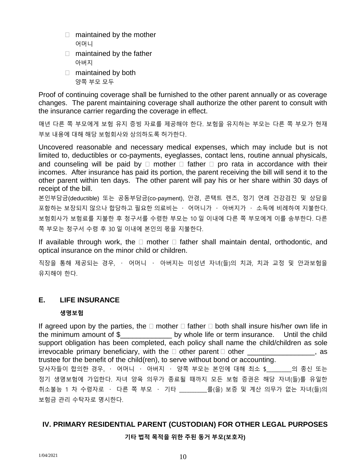- maintained by the mother 어머니
- □ maintained by the father 아버지
- maintained by both 양쪽 부모 모두

Proof of continuing coverage shall be furnished to the other parent annually or as coverage changes. The parent maintaining coverage shall authorize the other parent to consult with the insurance carrier regarding the coverage in effect.

매년 다른 쪽 부모에게 보험 유지 증빙 자료를 제공해야 한다. 보험을 유지하는 부모는 다른 쪽 부모가 현재 부보 내용에 대해 해당 보험회사와 상의하도록 허가한다.

Uncovered reasonable and necessary medical expenses, which may include but is not limited to, deductibles or co-payments, eyeglasses, contact lens, routine annual physicals, and counseling will be paid by  $\Box$  mother  $\Box$  father  $\Box$  pro rata in accordance with their incomes. After insurance has paid its portion, the parent receiving the bill will send it to the other parent within ten days. The other parent will pay his or her share within 30 days of receipt of the bill.

본인부담금(deductible) 또는 공동부담금(co-payment), 안경, 콘택트 렌즈, 정기 연례 건강검진 및 상담을 포함하는 보장되지 않으나 합당하고 필요한 의료비는 · 어머니가 · 아버지가 · 소득에 비례하여 지불한다. 보험회사가 보험료를 지불한 후 청구서를 수령한 부모는 10 일 이내에 다른 쪽 부모에게 이를 송부한다. 다른 쪽 부모는 청구서 수령 후 30 일 이내에 본인의 몫을 지불한다.

If available through work, the  $\Box$  mother  $\Box$  father shall maintain dental, orthodontic, and optical insurance on the minor child or children.

직장을 통해 제공되는 경우, 어머니 아버지는 미성년 자녀(들)의 치과, 치과 교정 및 안과보험을 유지해야 한다.

#### **E. LIFE INSURANCE**

#### **생명보험**

If agreed upon by the parties, the  $\Box$  mother  $\Box$  father  $\Box$  both shall insure his/her own life in the minimum amount of \$\_\_\_\_\_\_\_\_\_\_\_\_\_ by whole life or term insurance. Until the child support obligation has been completed, each policy shall name the child/children as sole irrevocable primary beneficiary, with the  $\Box$  other parent  $\Box$  other \_\_\_\_\_\_\_\_\_\_\_\_\_\_\_\_, as trustee for the benefit of the child(ren), to serve without bond or accounting. 당사자들이 합의한 경우, · 어머니 · 아버지 · 양쪽 부모는 본인에 대해 최소 \$ \_\_\_\_\_ 의 종신 또는 정기 생명보험에 가입한다. 자녀 양육 의무가 종료될 때까지 모든 보험 증권은 해당 자녀(들)를 유일한 취소불능 1 차 수령자로 · 다른 쪽 부모 · 기타 \_\_\_\_\_\_\_\_\_ 를(을) 보증 및 계산 의무가 없는 자녀(들)의 보험금 관리 수탁자로 명시한다.

## **IV. PRIMARY RESIDENTIAL PARENT (CUSTODIAN) FOR OTHER LEGAL PURPOSES**

**기타 법적 목적을 위한 주된 동거 부모(보호자)**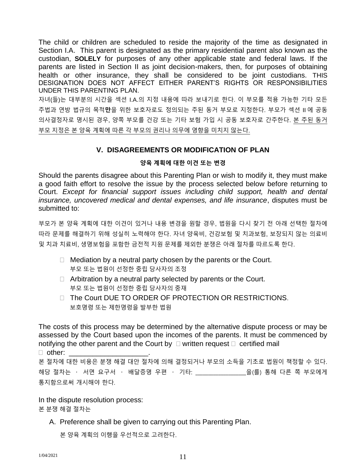The child or children are scheduled to reside the majority of the time as designated in Section I.A. This parent is designated as the primary residential parent also known as the custodian, **SOLELY** for purposes of any other applicable state and federal laws. If the parents are listed in Section II as joint decision-makers, then, for purposes of obtaining health or other insurance, they shall be considered to be joint custodians. THIS DESIGNATION DOES NOT AFFECT EITHER PARENT'S RIGHTS OR RESPONSIBILITIES UNDER THIS PARENTING PLAN.

자녀(들)는 대부분의 시간을 섹션 I.A.의 지정 내용에 따라 보내기로 한다. 이 부모를 적용 가능한 기타 모든 주법과 연방 법규의 목적**만**을 위한 보호자로도 정의되는 주된 동거 부모로 지정한다. 부모가 섹션 II 에 공동 의사결정자로 명시된 경우, 양쪽 부모를 건강 또는 기타 보험 가입 시 공동 보호자로 간주한다. 본 주된 동거 부모 지정은 본 양육 계획에 따른 각 부모의 권리나 의무에 영향을 미치지 않는다.

#### **V. DISAGREEMENTS OR MODIFICATION OF PLAN**

#### **양육 계획에 대한 이견 또는 변경**

Should the parents disagree about this Parenting Plan or wish to modify it, they must make a good faith effort to resolve the issue by the process selected below before returning to Court. *Except for financial support issues including child support, health and dental insurance, uncovered medical and dental expenses, and life insurance*, disputes must be submitted to:

부모가 본 양육 계획에 대한 이견이 있거나 내용 변경을 원할 경우, 법원을 다시 찾기 전 아래 선택한 절차에 따라 문제를 해결하기 위해 성실히 노력해야 한다. 자녀 양육비, 건강보험 및 치과보험, 보장되지 않는 의료비 및 치과 치료비, 생명보험을 포함한 금전적 지원 문제를 제외한 분쟁은 아래 절차를 따르도록 한다.

- $\Box$  Mediation by a neutral party chosen by the parents or the Court. 부모 또는 법원이 선정한 중립 당사자의 조정
- $\Box$  Arbitration by a neutral party selected by parents or the Court. 부모 또는 법원이 선정한 중립 당사자의 중재
- □ The Court DUE TO ORDER OF PROTECTION OR RESTRICTIONS. 보호명령 또는 제한명령을 발부한 법원

The costs of this process may be determined by the alternative dispute process or may be assessed by the Court based upon the incomes of the parents. It must be commenced by notifying the other parent and the Court by  $\Box$  written request  $\Box$  certified mail

 $\Box$  other:

본 절차에 대한 비용은 분쟁 해결 대안 절차에 의해 결정되거나 부모의 소득을 기초로 법원이 책정할 수 있다. 해당 절차는 · 서면 요구서 · 배달증명 우편 · 기타: \_\_\_\_\_\_\_\_\_\_\_\_\_\_\_\_\_을(를) 통해 다른 쪽 부모에게 통지함으로써 개시해야 한다.

In the dispute resolution process:

본 분쟁 해결 절차는

A. Preference shall be given to carrying out this Parenting Plan.

본 양육 계획의 이행을 우선적으로 고려한다.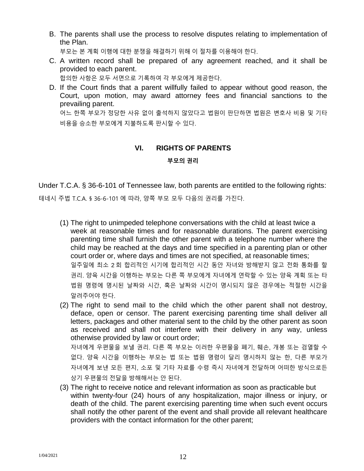B. The parents shall use the process to resolve disputes relating to implementation of the Plan.

부모는 본 계획 이행에 대한 분쟁을 해결하기 위해 이 절차를 이용해야 한다.

C. A written record shall be prepared of any agreement reached, and it shall be provided to each parent.

합의한 사항은 모두 서면으로 기록하여 각 부모에게 제공한다.

D. If the Court finds that a parent willfully failed to appear without good reason, the Court, upon motion, may award attorney fees and financial sanctions to the prevailing parent.

어느 한쪽 부모가 정당한 사유 없이 출석하지 않았다고 법원이 판단하면 법원은 변호사 비용 및 기타 비용을 승소한 부모에게 지불하도록 판시할 수 있다.

#### **VI. RIGHTS OF PARENTS**

#### **부모의 권리**

Under T.C.A. § 36-6-101 of Tennessee law, both parents are entitled to the following rights: 테네시 주법 T.C.A. § 36-6-101 에 따라, 양쪽 부모 모두 다음의 권리를 가진다.

- (1) The right to unimpeded telephone conversations with the child at least twice a week at reasonable times and for reasonable durations. The parent exercising parenting time shall furnish the other parent with a telephone number where the child may be reached at the days and time specified in a parenting plan or other court order or, where days and times are not specified, at reasonable times; 일주일에 최소 2 회 합리적인 시기에 합리적인 시간 동안 자녀와 방해받지 않고 전화 통화를 할 권리. 양육 시간을 이행하는 부모는 다른 쪽 부모에게 자녀에게 연락할 수 있는 양육 계획 또는 타 법원 명령에 명시된 날짜와 시간, 혹은 날짜와 시간이 명시되지 않은 경우에는 적절한 시간을 알려주어야 한다.
- (2) The right to send mail to the child which the other parent shall not destroy, deface, open or censor. The parent exercising parenting time shall deliver all letters, packages and other material sent to the child by the other parent as soon as received and shall not interfere with their delivery in any way, unless otherwise provided by law or court order; 자녀에게 우편물을 보낼 권리. 다른 쪽 부모는 이러한 우편물을 폐기, 훼손, 개봉 또는 검열할 수 없다. 양육 시간을 이행하는 부모는 법 또는 법원 명령이 달리 명시하지 않는 한, 다른 부모가 자녀에게 보낸 모든 편지, 소포 및 기타 자료를 수령 즉시 자녀에게 전달하며 어떠한 방식으로든 상기 우편물의 전달을 방해해서는 안 된다.
- (3) The right to receive notice and relevant information as soon as practicable but within twenty-four (24) hours of any hospitalization, major illness or injury, or death of the child. The parent exercising parenting time when such event occurs shall notify the other parent of the event and shall provide all relevant healthcare providers with the contact information for the other parent;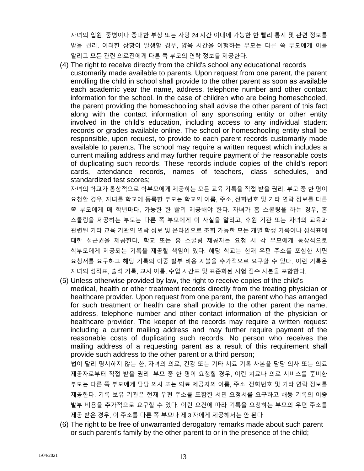자녀의 입원, 중병이나 중대한 부상 또는 사망 24 시간 이내에 가능한 한 빨리 통지 및 관련 정보를 받을 권리. 이러한 상황이 발생할 경우, 양육 시간을 이행하는 부모는 다른 쪽 부모에게 이를 알리고 모든 관련 의료진에게 다른 쪽 부모의 연락 정보를 제공한다.

(4) The right to receive directly from the child's school any educational records customarily made available to parents. Upon request from one parent, the parent enrolling the child in school shall provide to the other parent as soon as available each academic year the name, address, telephone number and other contact information for the school. In the case of children who are being homeschooled, the parent providing the homeschooling shall advise the other parent of this fact along with the contact information of any sponsoring entity or other entity involved in the child's education, including access to any individual student records or grades available online. The school or homeschooling entity shall be responsible, upon request, to provide to each parent records customarily made available to parents. The school may require a written request which includes a current mailing address and may further require payment of the reasonable costs of duplicating such records. These records include copies of the child's report cards, attendance records, names of teachers, class schedules, and standardized test scores;

자녀의 학교가 통상적으로 학부모에게 제공하는 모든 교육 기록을 직접 받을 권리. 부모 중 한 명이 요청할 경우, 자녀를 학교에 등록한 부모는 학교의 이름, 주소, 전화번호 및 기타 연락 정보를 다른 쪽 부모에게 매 학년마다, 가능한 한 빨리 제공해야 한다. 자녀가 홈 스쿨링을 하는 경우, 홈 스콜링을 제공하는 부모는 다른 쪽 부모에게 이 사실을 알리고, 후원 기관 또는 자녀의 교육과 관련된 기타 교육 기관의 연락 정보 및 온라인으로 조회 가능한 모든 개별 학생 기록이나 성적표에 대한 접근권을 제공한다. 학교 또는 홈 스쿨링 제공자는 요청 시 각 부모에게 통상적으로 학부모에게 제공되는 기록을 제공할 책임이 있다. 해당 학교는 현재 우편 주소를 포함한 서면 요청서를 요구하고 해당 기록의 이중 발부 비용 지불을 추가적으로 요구할 수 있다. 이런 기록은 자녀의 성적표, 출석 기록, 교사 이름, 수업 시간표 및 표준화된 시험 점수 사본을 포함한다.

(5) Unless otherwise provided by law, the right to receive copies of the child's medical, health or other treatment records directly from the treating physician or healthcare provider. Upon request from one parent, the parent who has arranged for such treatment or health care shall provide to the other parent the name, address, telephone number and other contact information of the physician or healthcare provider. The keeper of the records may require a written request including a current mailing address and may further require payment of the reasonable costs of duplicating such records. No person who receives the mailing address of a requesting parent as a result of this requirement shall provide such address to the other parent or a third person;

법이 달리 명시하지 않는 한, 자녀의 의료, 건강 또는 기타 치료 기록 사본을 담당 의사 또는 의료 제공자로부터 직접 받을 권리. 부모 중 한 명이 요청할 경우, 이런 치료나 의료 서비스를 준비한 부모는 다른 쪽 부모에게 담당 의사 또는 의료 제공자의 이름, 주소, 전화번호 및 기타 연락 정보를 제공한다. 기록 보유 기관은 현재 우편 주소를 포함한 서면 요청서를 요구하고 해동 기록의 이중 발부 비용을 추가적으로 요구할 수 있다. 이런 요건에 따라 기록을 요청하는 부모의 우편 주소를 제공 받은 경우, 이 주소를 다른 쪽 부모나 제 3 자에게 제공해서는 안 된다.

(6) The right to be free of unwarranted derogatory remarks made about such parent or such parent's family by the other parent to or in the presence of the child;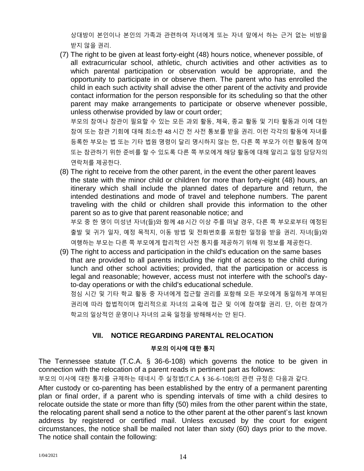상대방이 본인이나 본인의 가족과 관련하여 자녀에게 또는 자녀 앞에서 하는 근거 없는 비방을 받지 않을 권리.

(7) The right to be given at least forty-eight (48) hours notice, whenever possible, of all extracurricular school, athletic, church activities and other activities as to which parental participation or observation would be appropriate, and the opportunity to participate in or observe them. The parent who has enrolled the child in each such activity shall advise the other parent of the activity and provide contact information for the person responsible for its scheduling so that the other parent may make arrangements to participate or observe whenever possible, unless otherwise provided by law or court order;

부모의 참여나 참관이 필요할 수 있는 모든 과외 활동, 체육, 종교 활동 및 기타 활동과 이에 대한 참여 또는 참관 기회에 대해 최소한 48 시간 전 사전 통보를 받을 권리. 이런 각각의 활동에 자녀를 등록한 부모는 법 또는 기타 법원 명령이 달리 명시하지 않는 한, 다른 쪽 부모가 이런 활동에 참여 또는 참관하기 위한 준비를 할 수 있도록 다른 쪽 부모에게 해당 활동에 대해 알리고 일정 담당자의 연락처를 제공한다.

(8) The right to receive from the other parent, in the event the other parent leaves the state with the minor child or children for more than forty-eight (48) hours, an itinerary which shall include the planned dates of departure and return, the intended destinations and mode of travel and telephone numbers. The parent traveling with the child or children shall provide this information to the other parent so as to give that parent reasonable notice; and 부모 중 한 명이 미성년 자녀(들)와 함께 48 시간 이상 주를 떠날 경우, 다른 쪽 부모로부터 예정된 출발 및 귀가 일자, 예정 목적지, 이동 방법 및 전화번호를 포함한 일정을 받을 권리. 자녀(들)와

여행하는 부모는 다른 쪽 부모에게 합리적인 사전 통지를 제공하기 위해 위 정보를 제공한다.

(9) The right to access and participation in the child's education on the same bases that are provided to all parents including the right of access to the child during lunch and other school activities; provided, that the participation or access is legal and reasonable; however, access must not interfere with the school's dayto-day operations or with the child's educational schedule.

점심 시간 및 기타 학교 활동 중 자녀에게 접근할 권리를 포함해 모든 부모에게 동일하게 부여된 권리에 따라 합법적이며 합리적으로 자녀의 교육에 접근 및 이에 참여할 권리. 단, 이런 참여가 학교의 일상적인 운영이나 자녀의 교육 일정을 방해해서는 안 된다.

## **VII. NOTICE REGARDING PARENTAL RELOCATION**

#### **부모의 이사에 대한 통지**

The Tennessee statute (T.C.A. § 36-6-108) which governs the notice to be given in connection with the relocation of a parent reads in pertinent part as follows:

부모의 이사에 대한 통지를 규제하는 테네시 주 실정법(T.C.A. § 36-6-108)의 관련 규정은 다음과 같다.

After custody or co-parenting has been established by the entry of a permanent parenting plan or final order, if a parent who is spending intervals of time with a child desires to relocate outside the state or more than fifty (50) miles from the other parent within the state, the relocating parent shall send a notice to the other parent at the other parent's last known address by registered or certified mail. Unless excused by the court for exigent circumstances, the notice shall be mailed not later than sixty (60) days prior to the move. The notice shall contain the following: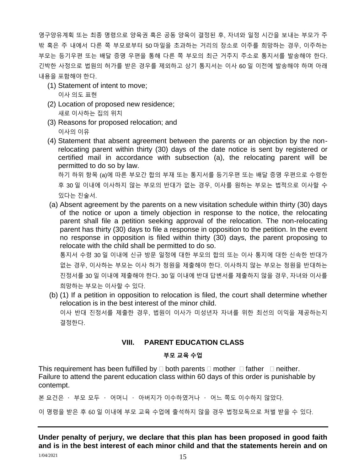영구양유계획 또는 최종 명령으로 양육권 혹은 공동 양육이 결정된 후, 자녀와 일정 시간을 보내는 부모가 주 밖 혹은 주 내에서 다른 쪽 부모로부터 50 마일을 초과하는 거리의 장소로 이주를 희망하는 경우, 이주하는 부모는 등기우편 또는 배달 증명 우편을 통해 다른 쪽 부모의 최근 거주지 주소로 통지서를 발송해야 한다. 긴박한 사정으로 법원의 허가를 받은 경우를 제외하고 상기 통지서는 이사 60 일 이전에 발송해야 하며 아래 내용을 포함해야 한다.

(1) Statement of intent to move;

이사 의도 표현

- (2) Location of proposed new residence; 새로 이사하는 집의 위치
- (3) Reasons for proposed relocation; and 이사의 이유
- (4) Statement that absent agreement between the parents or an objection by the nonrelocating parent within thirty (30) days of the date notice is sent by registered or certified mail in accordance with subsection (a), the relocating parent will be permitted to do so by law.

하기 하위 항목 (a)에 따른 부모간 합의 부재 또는 통지서를 등기우편 또는 배달 증명 우편으로 수령한 후 30 일 이내에 이사하지 않는 부모의 반대가 없는 경우, 이사를 원하는 부모는 법적으로 이사할 수 있다는 진술서.

(a) Absent agreement by the parents on a new visitation schedule within thirty (30) days of the notice or upon a timely objection in response to the notice, the relocating parent shall file a petition seeking approval of the relocation. The non-relocating parent has thirty (30) days to file a response in opposition to the petition. In the event no response in opposition is filed within thirty (30) days, the parent proposing to relocate with the child shall be permitted to do so.

통지서 수령 30 일 이내에 신규 방문 일정에 대한 부모의 합의 또는 이사 통지에 대한 신속한 반대가 없는 경우, 이사하는 부모는 이사 허가 청원을 제출해야 한다. 이사하지 않는 부모는 청원을 반대하는 진정서를 30 일 이내에 제출해야 한다. 30 일 이내에 반대 답변서를 제출하지 않을 경우, 자녀와 이사를 희망하는 부모는 이사할 수 있다.

(b) (1) If a petition in opposition to relocation is filed, the court shall determine whether relocation is in the best interest of the minor child. 이사 반대 진정서를 제출한 경우, 법원이 이사가 미성년자 자녀를 위한 최선의 이익을 제공하는지 결정한다.

## **VIII. PARENT EDUCATION CLASS**

#### **부모 교육 수업**

This requirement has been fulfilled by  $\Box$  both parents  $\Box$  mother  $\Box$  father  $\Box$  neither. Failure to attend the parent education class within 60 days of this order is punishable by contempt.

본 요건은 · 부모 모두 · 어머니 · 아버지가 이수하였거나 · 어느 쪽도 이수하지 않았다.

이 명령을 받은 후 60 일 이내에 부모 교육 수업에 출석하지 않을 경우 법정모독으로 처벌 받을 수 있다.

 $1/04/2021$   $15$ **Under penalty of perjury, we declare that this plan has been proposed in good faith and is in the best interest of each minor child and that the statements herein and on**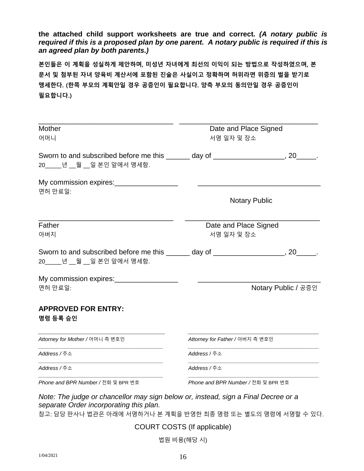#### **the attached child support worksheets are true and correct.** *(A notary public is required if this is a proposed plan by one parent. A notary public is required if this is an agreed plan by both parents.)*

**본인들은 이 계획을 성실하게 제안하며, 미성년 자녀에게 최선의 이익이 되는 방법으로 작성하였으며, 본 문서 및 첨부된 자녀 양육비 계산서에 포함된 진술은 사실이고 정확하며 허위라면 위증의 벌을 받기로 맹세한다. (한쪽 부모의 계획안일 경우 공증인이 필요합니다. 양측 부모의 동의안일 경우 공증인이 필요합니다.)**

| <b>Mother</b><br>어머니                                                                                              | Date and Place Signed<br>서명 일자 및 장소 |                      |  |  |
|-------------------------------------------------------------------------------------------------------------------|-------------------------------------|----------------------|--|--|
| Sworn to and subscribed before me this ______ day of __________________, 20_____.<br>20_____년 __월 __일 본인 앞에서 맹세함. |                                     |                      |  |  |
| My commission expires: _________________<br>면허 만료일:                                                               |                                     |                      |  |  |
|                                                                                                                   |                                     | <b>Notary Public</b> |  |  |
| Father<br>아버지                                                                                                     | Date and Place Signed<br>서명 일자 및 장소 |                      |  |  |
| Sworn to and subscribed before me this ______ day of __________________, 20_____.<br>20_____년 __월 __일 본인 앞에서 맹세함. |                                     |                      |  |  |
| My commission expires: __________________                                                                         |                                     |                      |  |  |
| 면허 만료일:                                                                                                           |                                     | Notary Public / 공증인  |  |  |
| <b>APPROVED FOR ENTRY:</b><br>명령 등록 승인                                                                            |                                     |                      |  |  |
| Attorney for Mother / 어머니 측 변호인                                                                                   | Attorney for Father / 아버지 측 변호인     |                      |  |  |
| Address / 주소                                                                                                      | Address / 주소                        |                      |  |  |
| Address / 주소                                                                                                      | Address / 주소                        |                      |  |  |

*separate Order incorporating this plan.*

참고: 담당 판사나 법관은 아래에 서명하거나 본 계획을 반영한 최종 명령 또는 별도의 명령에 서명할 수 있다.

COURT COSTS (If applicable)

법원 비용(해당 시)